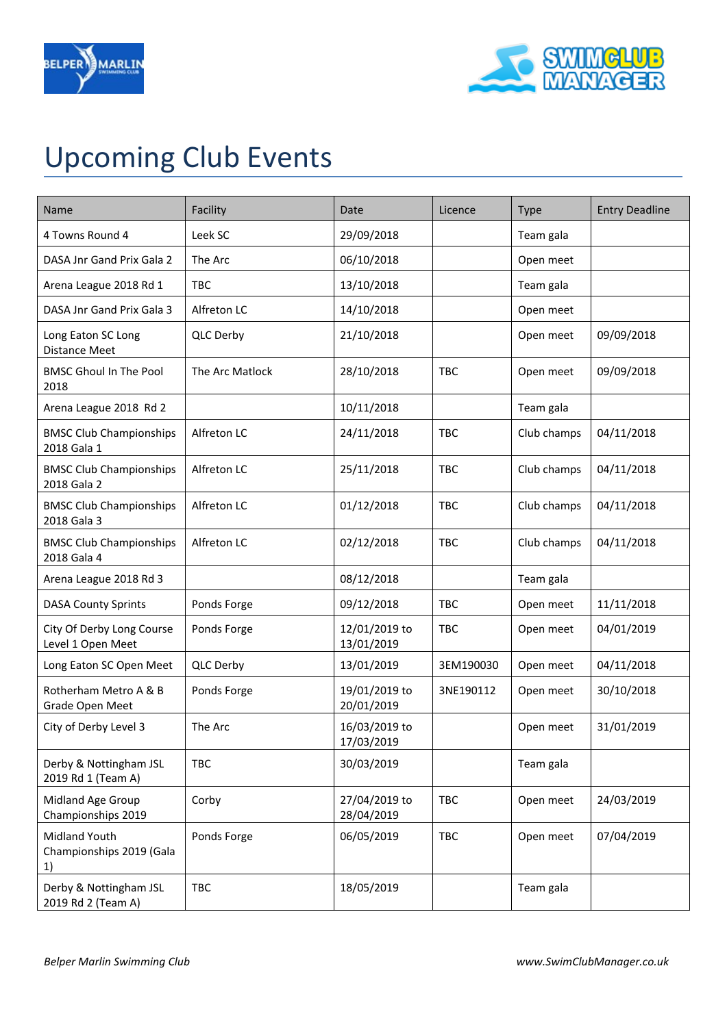



## Upcoming Club Events

| Name                                            | Facility        | Date                        | Licence    | <b>Type</b> | <b>Entry Deadline</b> |
|-------------------------------------------------|-----------------|-----------------------------|------------|-------------|-----------------------|
| 4 Towns Round 4                                 | Leek SC         | 29/09/2018                  |            | Team gala   |                       |
| DASA Jnr Gand Prix Gala 2                       | The Arc         | 06/10/2018                  |            | Open meet   |                       |
| Arena League 2018 Rd 1                          | <b>TBC</b>      | 13/10/2018                  |            | Team gala   |                       |
| DASA Jnr Gand Prix Gala 3                       | Alfreton LC     | 14/10/2018                  |            | Open meet   |                       |
| Long Eaton SC Long<br><b>Distance Meet</b>      | QLC Derby       | 21/10/2018                  |            | Open meet   | 09/09/2018            |
| <b>BMSC Ghoul In The Pool</b><br>2018           | The Arc Matlock | 28/10/2018                  | <b>TBC</b> | Open meet   | 09/09/2018            |
| Arena League 2018 Rd 2                          |                 | 10/11/2018                  |            | Team gala   |                       |
| <b>BMSC Club Championships</b><br>2018 Gala 1   | Alfreton LC     | 24/11/2018                  | <b>TBC</b> | Club champs | 04/11/2018            |
| <b>BMSC Club Championships</b><br>2018 Gala 2   | Alfreton LC     | 25/11/2018                  | <b>TBC</b> | Club champs | 04/11/2018            |
| <b>BMSC Club Championships</b><br>2018 Gala 3   | Alfreton LC     | 01/12/2018                  | <b>TBC</b> | Club champs | 04/11/2018            |
| <b>BMSC Club Championships</b><br>2018 Gala 4   | Alfreton LC     | 02/12/2018                  | <b>TBC</b> | Club champs | 04/11/2018            |
| Arena League 2018 Rd 3                          |                 | 08/12/2018                  |            | Team gala   |                       |
| <b>DASA County Sprints</b>                      | Ponds Forge     | 09/12/2018                  | <b>TBC</b> | Open meet   | 11/11/2018            |
| City Of Derby Long Course<br>Level 1 Open Meet  | Ponds Forge     | 12/01/2019 to<br>13/01/2019 | <b>TBC</b> | Open meet   | 04/01/2019            |
| Long Eaton SC Open Meet                         | QLC Derby       | 13/01/2019                  | 3EM190030  | Open meet   | 04/11/2018            |
| Rotherham Metro A & B<br>Grade Open Meet        | Ponds Forge     | 19/01/2019 to<br>20/01/2019 | 3NE190112  | Open meet   | 30/10/2018            |
| City of Derby Level 3                           | The Arc         | 16/03/2019 to<br>17/03/2019 |            | Open meet   | 31/01/2019            |
| Derby & Nottingham JSL<br>2019 Rd 1 (Team A)    | <b>TBC</b>      | 30/03/2019                  |            | Team gala   |                       |
| Midland Age Group<br>Championships 2019         | Corby           | 27/04/2019 to<br>28/04/2019 | <b>TBC</b> | Open meet   | 24/03/2019            |
| Midland Youth<br>Championships 2019 (Gala<br>1) | Ponds Forge     | 06/05/2019                  | <b>TBC</b> | Open meet   | 07/04/2019            |
| Derby & Nottingham JSL<br>2019 Rd 2 (Team A)    | TBC             | 18/05/2019                  |            | Team gala   |                       |